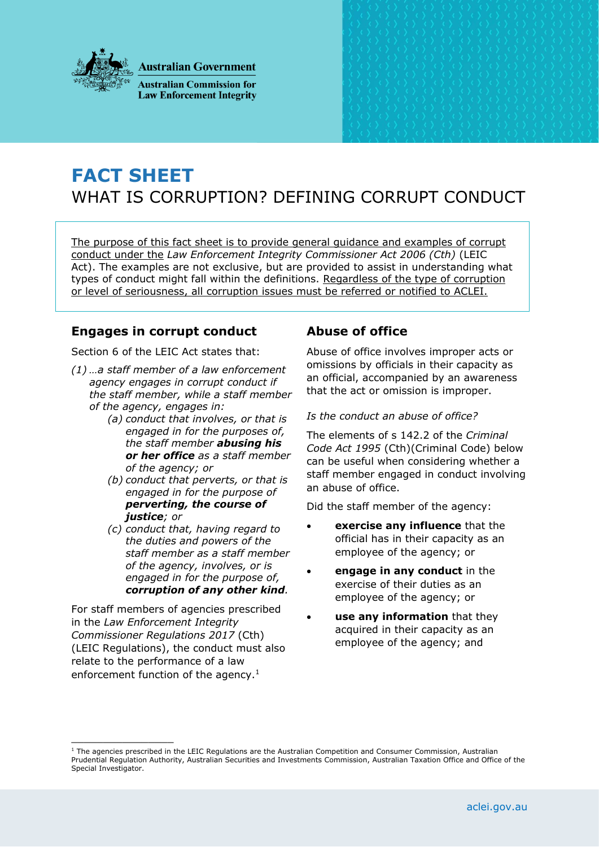

**Australian Government** 

**Australian Commission for Law Enforcement Integrity** 

# **FACT SHEET** WHAT IS CORRUPTION? DEFINING CORRUPT CONDUCT

The purpose of this fact sheet is to provide general guidance and examples of corrupt conduct under the *Law Enforcement Integrity Commissioner Act 2006 (Cth)* (LEIC Act). The examples are not exclusive, but are provided to assist in understanding what types of conduct might fall within the definitions. Regardless of the type of corruption or level of seriousness, all corruption issues must be referred or notified to ACLEI.

# **Engages in corrupt conduct**

Section 6 of the LEIC Act states that:

- *(1) …a staff member of a law enforcement agency engages in corrupt conduct if the staff member, while a staff member of the agency, engages in:*
	- *(a) conduct that involves, or that is engaged in for the purposes of, the staff member abusing his or her office as a staff member of the agency; or*
	- *(b) conduct that perverts, or that is engaged in for the purpose of perverting, the course of justice; or*
	- *(c) conduct that, having regard to the duties and powers of the staff member as a staff member of the agency, involves, or is engaged in for the purpose of, corruption of any other kind.*

For staff members of agencies prescribed in the *Law Enforcement Integrity Commissioner Regulations 2017* (Cth) (LEIC Regulations), the conduct must also relate to the performance of a law enforcement function of the agency.<sup>1</sup>

\_\_\_\_\_\_\_\_\_\_\_\_\_\_\_\_

# **Abuse of office**

Abuse of office involves improper acts or omissions by officials in their capacity as an official, accompanied by an awareness that the act or omission is improper.

## *Is the conduct an abuse of office?*

The elements of s 142.2 of the *Criminal Code Act 1995* (Cth)(Criminal Code) below can be useful when considering whether a staff member engaged in conduct involving an abuse of office.

Did the staff member of the agency:

- **exercise any influence** that the official has in their capacity as an employee of the agency; or
- **engage in any conduct** in the exercise of their duties as an employee of the agency; or
- **use any information** that they acquired in their capacity as an employee of the agency; and

 $1$  The agencies prescribed in the LEIC Regulations are the Australian Competition and Consumer Commission, Australian Prudential Regulation Authority, Australian Securities and Investments Commission, Australian Taxation Office and Office of the Special Investigator.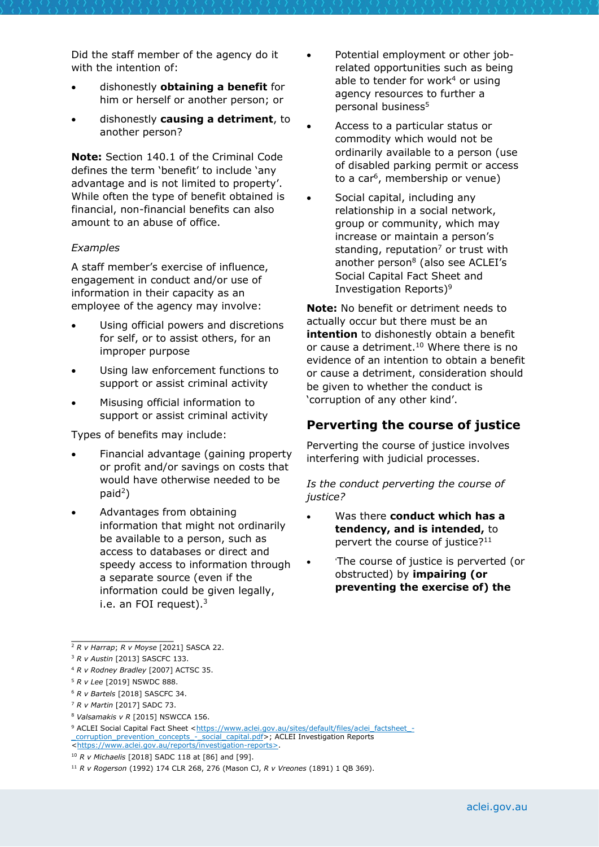Did the staff member of the agency do it with the intention of:

- dishonestly **obtaining a benefit** for him or herself or another person; or
- dishonestly **causing a detriment**, to another person?

**Note:** Section 140.1 of the Criminal Code defines the term 'benefit' to include 'any advantage and is not limited to property'. While often the type of benefit obtained is financial, non-financial benefits can also amount to an abuse of office.

#### *Examples*

A staff member's exercise of influence, engagement in conduct and/or use of information in their capacity as an employee of the agency may involve:

- Using official powers and discretions for self, or to assist others, for an improper purpose
- Using law enforcement functions to support or assist criminal activity
- Misusing official information to support or assist criminal activity

Types of benefits may include:

- Financial advantage (gaining property or profit and/or savings on costs that would have otherwise needed to be  $p$ aid<sup>2</sup>)
- Advantages from obtaining information that might not ordinarily be available to a person, such as access to databases or direct and speedy access to information through a separate source (even if the information could be given legally, i.e. an FOI request). $3$
- Potential employment or other jobrelated opportunities such as being able to tender for work<sup>4</sup> or using agency resources to further a personal business<sup>5</sup>
- Access to a particular status or commodity which would not be ordinarily available to a person (use of disabled parking permit or access to a car<sup>6</sup>, membership or venue)
- Social capital, including any relationship in a social network, group or community, which may increase or maintain a person's standing, reputation<sup>7</sup> or trust with another person<sup>8</sup> (also see ACLEI's Social Capital Fact Sheet and Investigation Reports)<sup>9</sup>

**Note:** No benefit or detriment needs to actually occur but there must be an **intention** to dishonestly obtain a benefit or cause a detriment.<sup>10</sup> Where there is no evidence of an intention to obtain a benefit or cause a detriment, consideration should be given to whether the conduct is 'corruption of any other kind'.

## **Perverting the course of justice**

Perverting the course of justice involves interfering with judicial processes.

*Is the conduct perverting the course of justice?* 

- Was there **conduct which has a tendency, and is intended,** to pervert the course of justice?<sup>11</sup>
- 'The course of justice is perverted (or obstructed) by **impairing (or preventing the exercise of) the**

<sup>4</sup> *R v Rodney Bradley* [2007] ACTSC 35.

 $\frac{1}{2}$  ,  $\frac{1}{2}$  ,  $\frac{1}{2}$  ,  $\frac{1}{2}$  ,  $\frac{1}{2}$  ,  $\frac{1}{2}$  ,  $\frac{1}{2}$  ,  $\frac{1}{2}$  ,  $\frac{1}{2}$  ,  $\frac{1}{2}$ <sup>2</sup> *R v Harrap*; *R v Moyse* [2021] SASCA 22.

<sup>3</sup> *R v Austin* [2013] SASCFC 133.

<sup>5</sup> *R v Lee* [2019] NSWDC 888.

<sup>6</sup> *R v Bartels* [2018] SASCFC 34.

<sup>7</sup> *R v Martin* [2017] SADC 73.

<sup>8</sup> *Valsamakis v R* [2015] NSWCCA 156.

<sup>9</sup> ACLEI Social Capital Fact Sheet [<https://www.aclei.gov.au/sites/default/files/aclei\\_factsheet\\_-](https://www.aclei.gov.au/sites/default/files/aclei_factsheet_-_corruption_prevention_concepts_-_social_capital.pdf) [\\_corruption\\_prevention\\_concepts\\_-\\_social\\_capital.pdf>](https://www.aclei.gov.au/sites/default/files/aclei_factsheet_-_corruption_prevention_concepts_-_social_capital.pdf); ACLEI Investigation Reports [<https://www.aclei.gov.au/reports/investigation-reports>](https://www.aclei.gov.au/reports/investigation-reports).

<sup>10</sup> *R v Michaelis* [2018] SADC 118 at [86] and [99].

<sup>11</sup> *R v Rogerson* (1992) 174 CLR 268, 276 (Mason CJ, *R v Vreones* (1891) 1 QB 369).